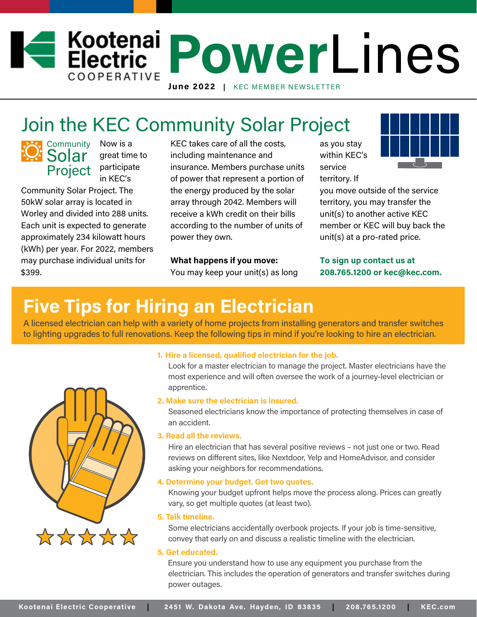# *<u>Electric PowerLines</u>* COOPERATIVE June 2022 | KEC MEMBER NEWSLETTER

# Join the KEC Community Solar Project

**Community Solar** 

Now is a great time to Project participate in KEC's

Community Solar Project. The 50kW solar array is located in Worley and divided into 288 units. Each unit is expected to generate approximately 234 kilowatt hours (kWh) per year. For 2022, members may purchase individual units for \$399.

KEC takes care of all the costs, including maintenance and insurance. Members purchase units of power that represent a portion of the energy produced by the solar array through 2042. Members will receive a kWh credit on their bills according to the number of units of power they own.

## What happens if you move:

You may keep your unit(s) as long

as you stay within KEC's service territory. If



you move outside of the service territory, you may transfer the unit(s) to another active KEC member or KEC will buy back the unit(s) at a pro-rated price.

To sign up contact us at 208.765.1200 or kec@kec.com.

# **Five Tips for Hiring an Electrician**

A licensed electrician can help with a variety of home projects from installing generators and transfer switches to lighting upgrades to full renovations. Keep the following tips in mind if you're looking to hire an electrician.



### **1. Hire a licensed, qualified electrician for the job.**

Look for a master electrician to manage the project. Master electricians have the most experience and will often oversee the work of a journey-level electrician or apprentice.

### **2. Make sure the electrician is insured.**

Seasoned electricians know the importance of protecting themselves in case of an accident.

## **3. Read all the reviews.**

Hire an electrician that has several positive reviews – not just one or two. Read reviews on different sites, like Nextdoor, Yelp and HomeAdvisor, and consider asking your neighbors for recommendations.

### **4. Determine your budget. Get two quotes.**

Knowing your budget upfront helps move the process along. Prices can greatly vary, so get multiple quotes (at least two).

#### **5. Talk timeline.**

Some electricians accidentally overbook projects. If your job is time-sensitive, convey that early on and discuss a realistic timeline with the electrician.

### **5. Get educated.**

 Ensure you understand how to use any equipment you purchase from the electrician. This includes the operation of generators and transfer switches during power outages.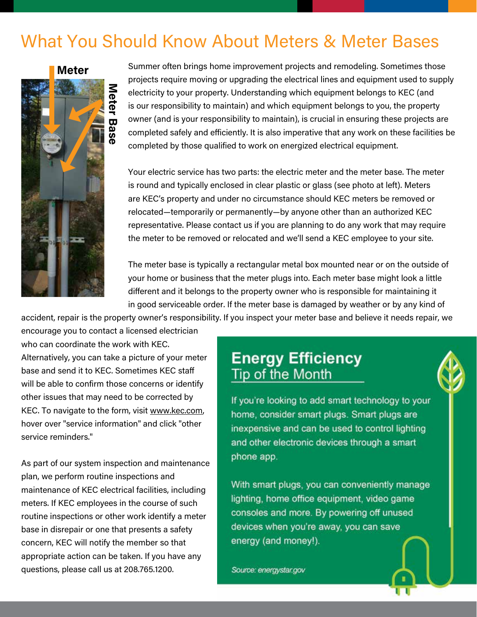# What You Should Know About Meters & Meter Bases



Summer often brings home improvement projects and remodeling. Sometimes those projects require moving or upgrading the electrical lines and equipment used to supply electricity to your property. Understanding which equipment belongs to KEC (and is our responsibility to maintain) and which equipment belongs to you, the property owner (and is your responsibility to maintain), is crucial in ensuring these projects are completed safely and efficiently. It is also imperative that any work on these facilities be completed by those qualified to work on energized electrical equipment.

Your electric service has two parts: the electric meter and the meter base. The meter is round and typically enclosed in clear plastic or glass (see photo at left). Meters are KEC's property and under no circumstance should KEC meters be removed or relocated—temporarily or permanently—by anyone other than an authorized KEC representative. Please contact us if you are planning to do any work that may require the meter to be removed or relocated and we'll send a KEC employee to your site.

The meter base is typically a rectangular metal box mounted near or on the outside of your home or business that the meter plugs into. Each meter base might look a little different and it belongs to the property owner who is responsible for maintaining it in good serviceable order. If the meter base is damaged by weather or by any kind of

accident, repair is the property owner's responsibility. If you inspect your meter base and believe it needs repair, we

encourage you to contact a licensed electrician who can coordinate the work with KEC.

Alternatively, you can take a picture of your meter base and send it to KEC. Sometimes KEC staff will be able to confirm those concerns or identify other issues that may need to be corrected by KEC. To navigate to the form, visit www.kec.com, hover over "service information" and click "other service reminders."

As part of our system inspection and maintenance plan, we perform routine inspections and maintenance of KEC electrical facilities, including meters. If KEC employees in the course of such routine inspections or other work identify a meter base in disrepair or one that presents a safety concern, KEC will notify the member so that appropriate action can be taken. If you have any questions, please call us at 208.765.1200.

## **Energy Efficiency** Tip of the Month

If you're looking to add smart technology to your home, consider smart plugs. Smart plugs are inexpensive and can be used to control lighting and other electronic devices through a smart phone app.

With smart plugs, you can conveniently manage lighting, home office equipment, video game consoles and more. By powering off unused devices when you're away, you can save energy (and money!).

Source: energystar.gov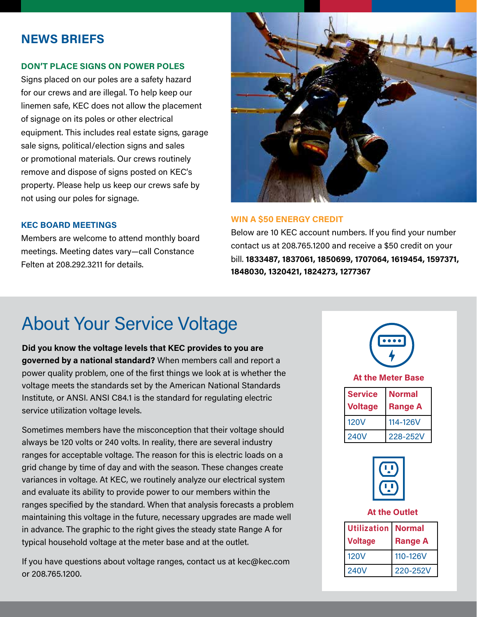## **NEWS BRIEFS**

## **DON'T PLACE SIGNS ON POWER POLES**

Signs placed on our poles are a safety hazard for our crews and are illegal. To help keep our linemen safe, KEC does not allow the placement of signage on its poles or other electrical equipment. This includes real estate signs, garage sale signs, political/election signs and sales or promotional materials. Our crews routinely remove and dispose of signs posted on KEC's property. Please help us keep our crews safe by not using our poles for signage.

### **KEC BOARD MEETINGS**

Members are welcome to attend monthly board meetings. Meeting dates vary—call Constance Felten at 208.292.3211 for details.



## **WIN A \$50 ENERGY CREDIT**

Below are 10 KEC account numbers. If you find your number contact us at 208.765.1200 and receive a \$50 credit on your bill. **1833487, 1837061, 1850699, 1707064, 1619454, 1597371, 1848030, 1320421, 1824273, 1277367**

## About Your Service Voltage

**Did you know the voltage levels that KEC provides to you are governed by a national standard?** When members call and report a power quality problem, one of the first things we look at is whether the voltage meets the standards set by the American National Standards Institute, or ANSI. ANSI C84.1 is the standard for regulating electric service utilization voltage levels.

Sometimes members have the misconception that their voltage should always be 120 volts or 240 volts. In reality, there are several industry ranges for acceptable voltage. The reason for this is electric loads on a grid change by time of day and with the season. These changes create variances in voltage. At KEC, we routinely analyze our electrical system and evaluate its ability to provide power to our members within the ranges specified by the standard. When that analysis forecasts a problem maintaining this voltage in the future, necessary upgrades are made well in advance. The graphic to the right gives the steady state Range A for typical household voltage at the meter base and at the outlet.

If you have questions about voltage ranges, contact us at kec@kec.com or 208.765.1200.





## **At the Outlet**

| <b>Utilization</b><br><b>Voltage</b> | <b>Normal</b><br><b>Range A</b> |
|--------------------------------------|---------------------------------|
| <b>120V</b>                          | 110-126V                        |
| <b>240V</b>                          | 220-252V                        |